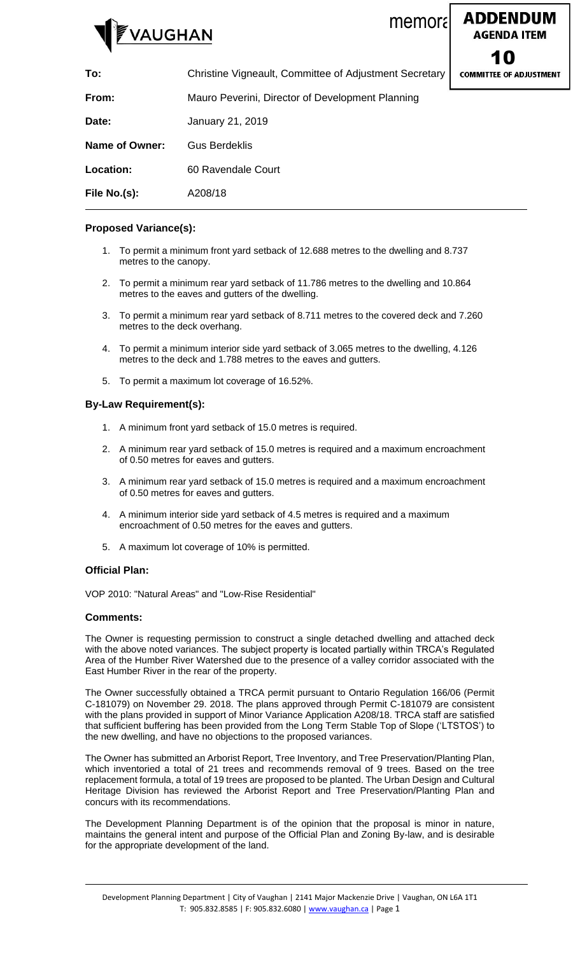



| To:                   | Christine Vigneault, Committee of Adjustment Secretary | <b>COMMITTEE OF ADJUSTM</b> |
|-----------------------|--------------------------------------------------------|-----------------------------|
| From:                 | Mauro Peverini, Director of Development Planning       |                             |
| Date:                 | January 21, 2019                                       |                             |
| <b>Name of Owner:</b> | <b>Gus Berdeklis</b>                                   |                             |
| Location:             | 60 Ravendale Court                                     |                             |
| File No.(s):          | A208/18                                                |                             |

# **Proposed Variance(s):**

- 1. To permit a minimum front yard setback of 12.688 metres to the dwelling and 8.737 metres to the canopy.
- 2. To permit a minimum rear yard setback of 11.786 metres to the dwelling and 10.864 metres to the eaves and gutters of the dwelling.
- 3. To permit a minimum rear yard setback of 8.711 metres to the covered deck and 7.260 metres to the deck overhang.
- 4. To permit a minimum interior side yard setback of 3.065 metres to the dwelling, 4.126 metres to the deck and 1.788 metres to the eaves and gutters.
- 5. To permit a maximum lot coverage of 16.52%.

# **By-Law Requirement(s):**

- 1. A minimum front yard setback of 15.0 metres is required.
- 2. A minimum rear yard setback of 15.0 metres is required and a maximum encroachment of 0.50 metres for eaves and gutters.
- 3. A minimum rear yard setback of 15.0 metres is required and a maximum encroachment of 0.50 metres for eaves and gutters.
- 4. A minimum interior side yard setback of 4.5 metres is required and a maximum encroachment of 0.50 metres for the eaves and gutters.
- 5. A maximum lot coverage of 10% is permitted.

# **Official Plan:**

VOP 2010: "Natural Areas" and "Low-Rise Residential"

#### **Comments:**

The Owner is requesting permission to construct a single detached dwelling and attached deck with the above noted variances. The subject property is located partially within TRCA's Regulated Area of the Humber River Watershed due to the presence of a valley corridor associated with the East Humber River in the rear of the property.

The Owner successfully obtained a TRCA permit pursuant to Ontario Regulation 166/06 (Permit C-181079) on November 29. 2018. The plans approved through Permit C-181079 are consistent with the plans provided in support of Minor Variance Application A208/18. TRCA staff are satisfied that sufficient buffering has been provided from the Long Term Stable Top of Slope ('LTSTOS') to the new dwelling, and have no objections to the proposed variances.

The Owner has submitted an Arborist Report, Tree Inventory, and Tree Preservation/Planting Plan, which inventoried a total of 21 trees and recommends removal of 9 trees. Based on the tree replacement formula, a total of 19 trees are proposed to be planted. The Urban Design and Cultural Heritage Division has reviewed the Arborist Report and Tree Preservation/Planting Plan and concurs with its recommendations.

The Development Planning Department is of the opinion that the proposal is minor in nature, maintains the general intent and purpose of the Official Plan and Zoning By-law, and is desirable for the appropriate development of the land.